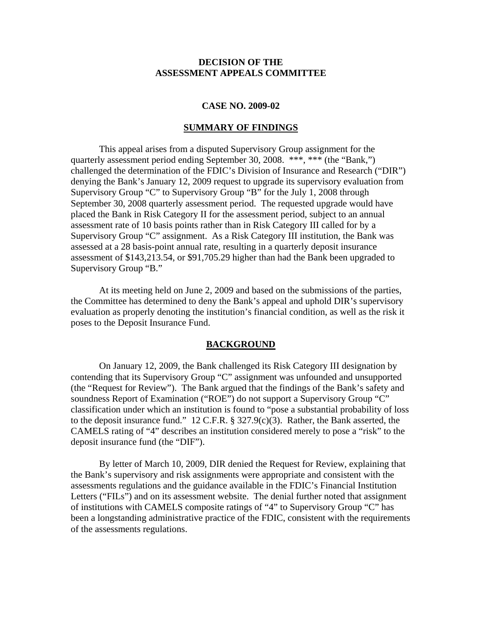### **DECISION OF THE ASSESSMENT APPEALS COMMITTEE**

### **CASE NO. 2009-02**

#### **SUMMARY OF FINDINGS**

This appeal arises from a disputed Supervisory Group assignment for the quarterly assessment period ending September 30, 2008. \*\*\*, \*\*\* (the "Bank,") challenged the determination of the FDIC's Division of Insurance and Research ("DIR") denying the Bank's January 12, 2009 request to upgrade its supervisory evaluation from Supervisory Group "C" to Supervisory Group "B" for the July 1, 2008 through September 30, 2008 quarterly assessment period. The requested upgrade would have placed the Bank in Risk Category II for the assessment period, subject to an annual assessment rate of 10 basis points rather than in Risk Category III called for by a Supervisory Group "C" assignment. As a Risk Category III institution, the Bank was assessed at a 28 basis-point annual rate, resulting in a quarterly deposit insurance assessment of \$143,213.54, or \$91,705.29 higher than had the Bank been upgraded to Supervisory Group "B."

At its meeting held on June 2, 2009 and based on the submissions of the parties, the Committee has determined to deny the Bank's appeal and uphold DIR's supervisory evaluation as properly denoting the institution's financial condition, as well as the risk it poses to the Deposit Insurance Fund.

#### **BACKGROUND**

On January 12, 2009, the Bank challenged its Risk Category III designation by contending that its Supervisory Group "C" assignment was unfounded and unsupported (the "Request for Review"). The Bank argued that the findings of the Bank's safety and soundness Report of Examination ("ROE") do not support a Supervisory Group "C" classification under which an institution is found to "pose a substantial probability of loss to the deposit insurance fund." 12 C.F.R. § 327.9(c)(3). Rather, the Bank asserted, the CAMELS rating of "4" describes an institution considered merely to pose a "risk" to the deposit insurance fund (the "DIF").

By letter of March 10, 2009, DIR denied the Request for Review, explaining that the Bank's supervisory and risk assignments were appropriate and consistent with the assessments regulations and the guidance available in the FDIC's Financial Institution Letters ("FILs") and on its assessment website. The denial further noted that assignment of institutions with CAMELS composite ratings of "4" to Supervisory Group "C" has been a longstanding administrative practice of the FDIC, consistent with the requirements of the assessments regulations.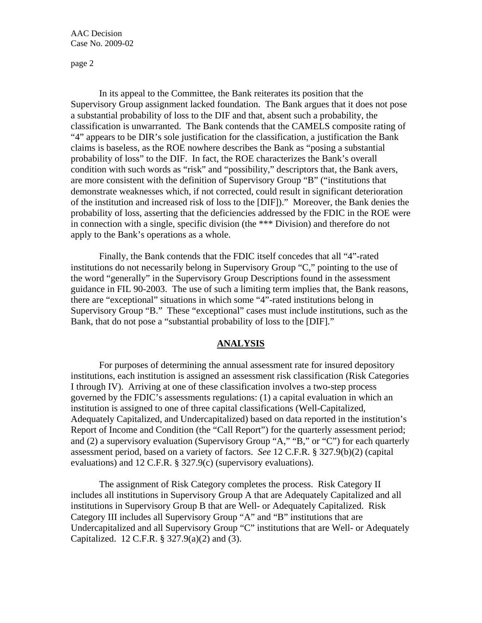page 2

In its appeal to the Committee, the Bank reiterates its position that the Supervisory Group assignment lacked foundation. The Bank argues that it does not pose a substantial probability of loss to the DIF and that, absent such a probability, the classification is unwarranted. The Bank contends that the CAMELS composite rating of "4" appears to be DIR's sole justification for the classification, a justification the Bank claims is baseless, as the ROE nowhere describes the Bank as "posing a substantial probability of loss" to the DIF. In fact, the ROE characterizes the Bank's overall condition with such words as "risk" and "possibility," descriptors that, the Bank avers, are more consistent with the definition of Supervisory Group "B" ("institutions that demonstrate weaknesses which, if not corrected, could result in significant deterioration of the institution and increased risk of loss to the [DIF])." Moreover, the Bank denies the probability of loss, asserting that the deficiencies addressed by the FDIC in the ROE were in connection with a single, specific division (the \*\*\* Division) and therefore do not apply to the Bank's operations as a whole.

Finally, the Bank contends that the FDIC itself concedes that all "4"-rated institutions do not necessarily belong in Supervisory Group "C," pointing to the use of the word "generally" in the Supervisory Group Descriptions found in the assessment guidance in FIL 90-2003. The use of such a limiting term implies that, the Bank reasons, there are "exceptional" situations in which some "4"-rated institutions belong in Supervisory Group "B." These "exceptional" cases must include institutions, such as the Bank, that do not pose a "substantial probability of loss to the [DIF]."

# **ANALYSIS**

For purposes of determining the annual assessment rate for insured depository institutions, each institution is assigned an assessment risk classification (Risk Categories I through IV). Arriving at one of these classification involves a two-step process governed by the FDIC's assessments regulations: (1) a capital evaluation in which an institution is assigned to one of three capital classifications (Well-Capitalized, Adequately Capitalized, and Undercapitalized) based on data reported in the institution's Report of Income and Condition (the "Call Report") for the quarterly assessment period; and (2) a supervisory evaluation (Supervisory Group "A," "B," or "C") for each quarterly assessment period, based on a variety of factors. *See* 12 C.F.R. § 327.9(b)(2) (capital evaluations) and 12 C.F.R. § 327.9(c) (supervisory evaluations).

The assignment of Risk Category completes the process. Risk Category II includes all institutions in Supervisory Group A that are Adequately Capitalized and all institutions in Supervisory Group B that are Well- or Adequately Capitalized. Risk Category III includes all Supervisory Group "A" and "B" institutions that are Undercapitalized and all Supervisory Group "C" institutions that are Well- or Adequately Capitalized. 12 C.F.R. § 327.9(a)(2) and (3).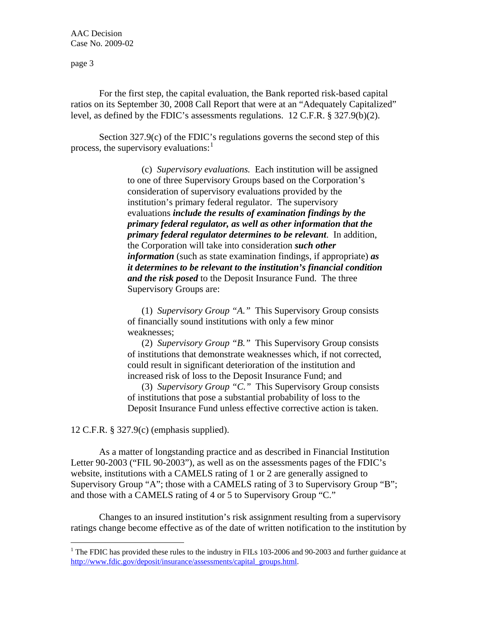page 3

For the first step, the capital evaluation, the Bank reported risk-based capital ratios on its September 30, 2008 Call Report that were at an "Adequately Capitalized" level, as defined by the FDIC's assessments regulations. 12 C.F.R. § 327.9(b)(2).

Section 327.9(c) of the FDIC's regulations governs the second step of this process, the supervisory evaluations:

> (c) *Supervisory evaluations.* Each institution will be assigned to one of three Supervisory Groups based on the Corporation's consideration of supervisory evaluations provided by the institution's primary federal regulator. The supervisory evaluations *include the results of examination findings by the primary federal regulator, as well as other information that the primary federal regulator determines to be relevant*. In addition, the Corporation will take into consideration *such other information* (such as state examination findings, if appropriate) *as it determines to be relevant to the institution's financial condition and the risk posed* to the Deposit Insurance Fund. The three Supervisory Groups are:

(1) *Supervisory Group "A."* This Supervisory Group consists of financially sound institutions with only a few minor weaknesses;

(2) *Supervisory Group "B."* This Supervisory Group consists of institutions that demonstrate weaknesses which, if not corrected, could result in significant deterioration of the institution and increased risk of loss to the Deposit Insurance Fund; and

(3) *Supervisory Group "C."* This Supervisory Group consists of institutions that pose a substantial probability of loss to the Deposit Insurance Fund unless effective corrective action is taken.

12 C.F.R. § 327.9(c) (emphasis supplied).

 $\overline{a}$ 

As a matter of longstanding practice and as described in Financial Institution Letter 90-2003 ("FIL 90-2003"), as well as on the assessments pages of the FDIC's website, institutions with a CAMELS rating of 1 or 2 are generally assigned to Supervisory Group "A"; those with a CAMELS rating of 3 to Supervisory Group "B"; and those with a CAMELS rating of 4 or 5 to Supervisory Group "C."

Changes to an insured institution's risk assignment resulting from a supervisory ratings change become effective as of the date of written notification to the institution by

<span id="page-2-0"></span><sup>&</sup>lt;sup>1</sup> The FDIC has provided these rules to the industry in FILs 103-2006 and 90-2003 and further guidance at [http://www.fdic.gov/deposit/insurance/assessments/capital\\_groups.html](http://www.fdic.gov/deposit/insurance/assessments/capital_groups.html).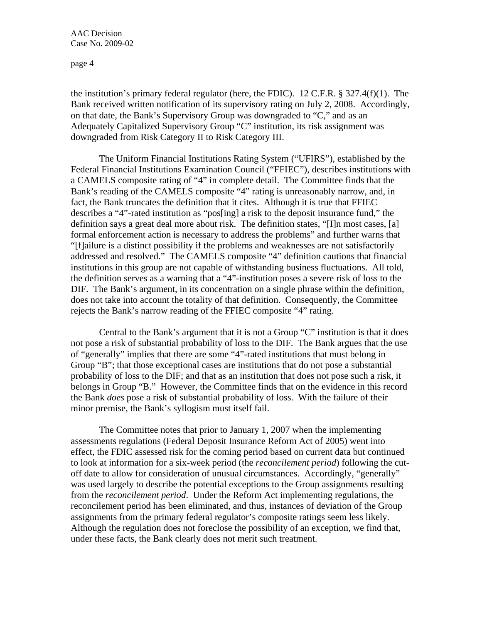page 4

the institution's primary federal regulator (here, the FDIC). 12 C.F.R. § 327.4(f)(1). The Bank received written notification of its supervisory rating on July 2, 2008. Accordingly, on that date, the Bank's Supervisory Group was downgraded to "C," and as an Adequately Capitalized Supervisory Group "C" institution, its risk assignment was downgraded from Risk Category II to Risk Category III.

The Uniform Financial Institutions Rating System ("UFIRS"), established by the Federal Financial Institutions Examination Council ("FFIEC"), describes institutions with a CAMELS composite rating of "4" in complete detail. The Committee finds that the Bank's reading of the CAMELS composite "4" rating is unreasonably narrow, and, in fact, the Bank truncates the definition that it cites. Although it is true that FFIEC describes a "4"-rated institution as "pos[ing] a risk to the deposit insurance fund," the definition says a great deal more about risk. The definition states, "[I]n most cases, [a] formal enforcement action is necessary to address the problems" and further warns that "[f]ailure is a distinct possibility if the problems and weaknesses are not satisfactorily addressed and resolved." The CAMELS composite "4" definition cautions that financial institutions in this group are not capable of withstanding business fluctuations. All told, the definition serves as a warning that a "4"-institution poses a severe risk of loss to the DIF. The Bank's argument, in its concentration on a single phrase within the definition, does not take into account the totality of that definition. Consequently, the Committee rejects the Bank's narrow reading of the FFIEC composite "4" rating.

Central to the Bank's argument that it is not a Group "C" institution is that it does not pose a risk of substantial probability of loss to the DIF. The Bank argues that the use of "generally" implies that there are some "4"-rated institutions that must belong in Group "B"; that those exceptional cases are institutions that do not pose a substantial probability of loss to the DIF; and that as an institution that does not pose such a risk, it belongs in Group "B." However, the Committee finds that on the evidence in this record the Bank *does* pose a risk of substantial probability of loss. With the failure of their minor premise, the Bank's syllogism must itself fail.

The Committee notes that prior to January 1, 2007 when the implementing assessments regulations (Federal Deposit Insurance Reform Act of 2005) went into effect, the FDIC assessed risk for the coming period based on current data but continued to look at information for a six-week period (the *reconcilement period*) following the cutoff date to allow for consideration of unusual circumstances. Accordingly, "generally" was used largely to describe the potential exceptions to the Group assignments resulting from the *reconcilement period*. Under the Reform Act implementing regulations, the reconcilement period has been eliminated, and thus, instances of deviation of the Group assignments from the primary federal regulator's composite ratings seem less likely. Although the regulation does not foreclose the possibility of an exception, we find that, under these facts, the Bank clearly does not merit such treatment.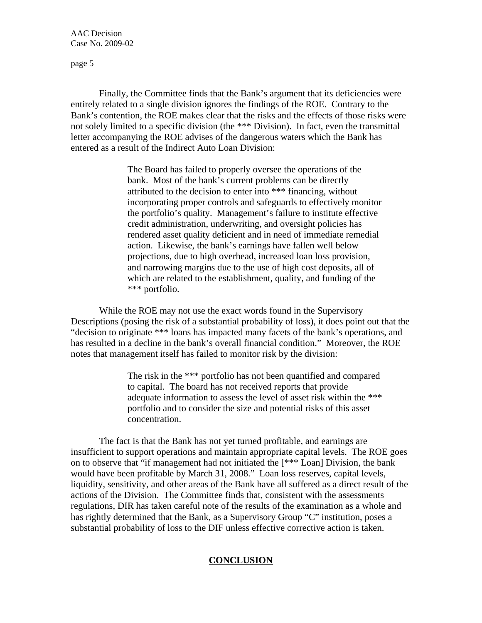page 5

Finally, the Committee finds that the Bank's argument that its deficiencies were entirely related to a single division ignores the findings of the ROE. Contrary to the Bank's contention, the ROE makes clear that the risks and the effects of those risks were not solely limited to a specific division (the \*\*\* Division). In fact, even the transmittal letter accompanying the ROE advises of the dangerous waters which the Bank has entered as a result of the Indirect Auto Loan Division:

> The Board has failed to properly oversee the operations of the bank. Most of the bank's current problems can be directly attributed to the decision to enter into \*\*\* financing, without incorporating proper controls and safeguards to effectively monitor the portfolio's quality. Management's failure to institute effective credit administration, underwriting, and oversight policies has rendered asset quality deficient and in need of immediate remedial action. Likewise, the bank's earnings have fallen well below projections, due to high overhead, increased loan loss provision, and narrowing margins due to the use of high cost deposits, all of which are related to the establishment, quality, and funding of the \*\*\* portfolio.

While the ROE may not use the exact words found in the Supervisory Descriptions (posing the risk of a substantial probability of loss), it does point out that the "decision to originate \*\*\* loans has impacted many facets of the bank's operations, and has resulted in a decline in the bank's overall financial condition." Moreover, the ROE notes that management itself has failed to monitor risk by the division:

> The risk in the \*\*\* portfolio has not been quantified and compared to capital. The board has not received reports that provide adequate information to assess the level of asset risk within the \*\*\* portfolio and to consider the size and potential risks of this asset concentration.

The fact is that the Bank has not yet turned profitable, and earnings are insufficient to support operations and maintain appropriate capital levels. The ROE goes on to observe that "if management had not initiated the [\*\*\* Loan] Division, the bank would have been profitable by March 31, 2008." Loan loss reserves, capital levels, liquidity, sensitivity, and other areas of the Bank have all suffered as a direct result of the actions of the Division. The Committee finds that, consistent with the assessments regulations, DIR has taken careful note of the results of the examination as a whole and has rightly determined that the Bank, as a Supervisory Group "C" institution, poses a substantial probability of loss to the DIF unless effective corrective action is taken.

## **CONCLUSION**